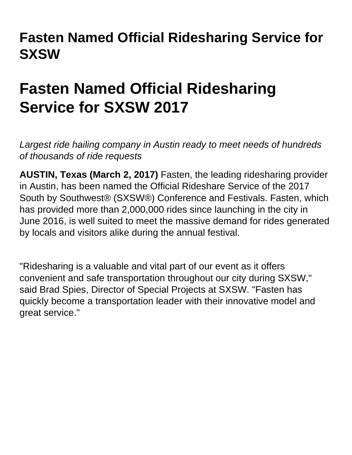## **Fasten Named Official Ridesharing Service for SXSW**

## **Fasten Named Official Ridesharing Service for SXSW 2017**

Largest ride hailing company in Austin ready to meet needs of hundreds of thousands of ride requests

**AUSTIN, Texas (March 2, 2017)** Fasten, the leading ridesharing provider in Austin, has been named the Official Rideshare Service of the 2017 South by Southwest® (SXSW®) Conference and Festivals. Fasten, which has provided more than 2,000,000 rides since launching in the city in June 2016, is well suited to meet the massive demand for rides generated by locals and visitors alike during the annual festival.

"Ridesharing is a valuable and vital part of our event as it offers convenient and safe transportation throughout our city during SXSW," said Brad Spies, Director of Special Projects at SXSW. "Fasten has quickly become a transportation leader with their innovative model and great service."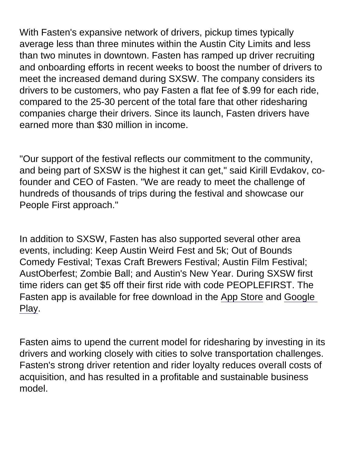With Fasten's expansive network of drivers, pickup times typically average less than three minutes within the Austin City Limits and less than two minutes in downtown. Fasten has ramped up driver recruiting and onboarding efforts in recent weeks to boost the number of drivers to meet the increased demand during SXSW. The company considers its drivers to be customers, who pay Fasten a flat fee of \$.99 for each ride, compared to the 25-30 percent of the total fare that other ridesharing companies charge their drivers. Since its launch, Fasten drivers have earned more than \$30 million in income.

"Our support of the festival reflects our commitment to the community, and being part of SXSW is the highest it can get," said Kirill Evdakov, cofounder and CEO of Fasten. "We are ready to meet the challenge of hundreds of thousands of trips during the festival and showcase our People First approach."

In addition to SXSW, Fasten has also supported several other area events, including: Keep Austin Weird Fest and 5k; Out of Bounds Comedy Festival; Texas Craft Brewers Festival; Austin Film Festival; AustOberfest; Zombie Ball; and Austin's New Year. During SXSW first time riders can get \$5 off their first ride with code PEOPLEFIRST. The Fasten app is available for free download in the App Store and Google Play.

Fasten aims to upend the current model for ridesharing by investing in its drivers and working closely with cities to solve transportation challenges. Fasten's strong driver retention and rider loyalty reduces overall costs of acquisition, and has resulted in a profitable and sustainable business model.